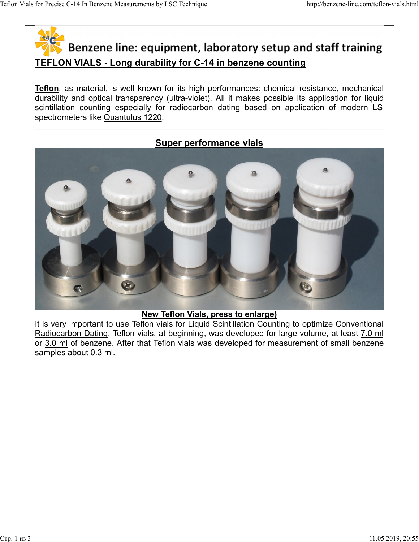# TEFLON VIALS - Long durability for C-14 in benzene counting Teflon Vials for Precise C-14 In Benzene Measurements by LSC Technique.<br>
http://benzene-line.com/teflon-vials.html<br> **Renzene line: equipment. laboratory setup and staff training**

**Teflon**, as material, is well known for its high performances: chemical resistance, mechanical durability and optical transparency (ultra-violet). All it makes possible its application for liquid Sor Precise C-14 In Benzene Measurements by LSC Technique.<br>
Such a http://benzene-line.com/teflon-vials.html<br>
Such a http://benzene-line.com/teflon-vials.html<br>
Such a http://benzene-line.com/teflon-vials.html<br>
Such a http: spectrometers like Quantulus 1220.

## Super performance vials



### New Teflon Vials, press to enlarge)

It is very important to use Teflon vials for Liquid Scintillation Counting to optimize Conventional Radiocarbon Dating. Teflon vials, at beginning, was developed for large volume, at least 7.0 ml or 3.0 ml of benzene. After that Teflon vials was developed for measurement of small benzene samples about 0.3 ml.